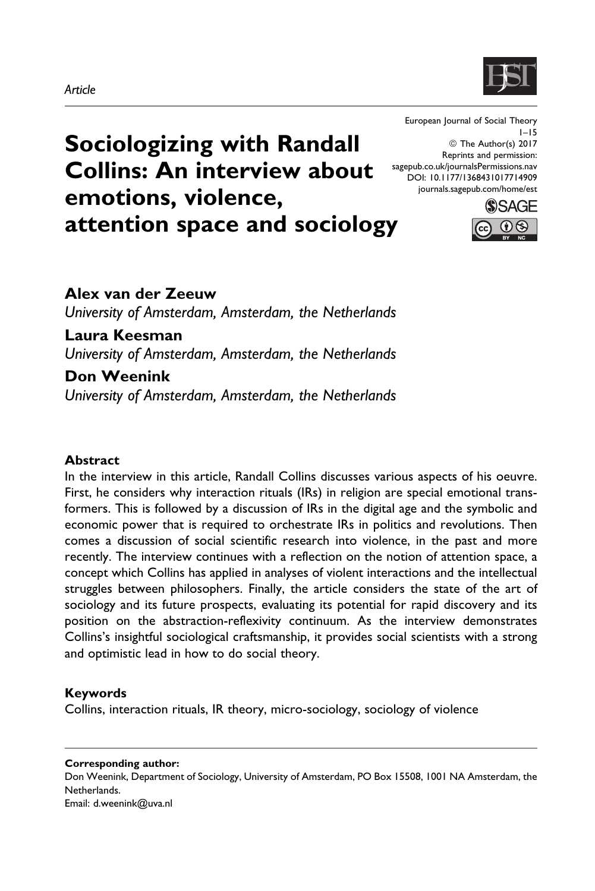# Article



Sociologizing with Randall Collins: An interview about emotions, violence, attention space and sociology

European Journal of Social Theory 1–15 © The Author(s) 2017 Reprints and permission: [sagepub.co.uk/journalsPermissions.nav](https://uk.sagepub.com/en-gb/journals-permissions) [DOI: 10.1177/1368431017714909](https://doi.org/10.1177/1368431017714909) [journals.sagepub.com/home/est](http://journals.sagepub.com/home/est)



# Alex van der Zeeuw University of Amsterdam, Amsterdam, the Netherlands Laura Keesman University of Amsterdam, Amsterdam, the Netherlands Don Weenink

University of Amsterdam, Amsterdam, the Netherlands

# Abstract

In the interview in this article, Randall Collins discusses various aspects of his oeuvre. First, he considers why interaction rituals (IRs) in religion are special emotional transformers. This is followed by a discussion of IRs in the digital age and the symbolic and economic power that is required to orchestrate IRs in politics and revolutions. Then comes a discussion of social scientific research into violence, in the past and more recently. The interview continues with a reflection on the notion of attention space, a concept which Collins has applied in analyses of violent interactions and the intellectual struggles between philosophers. Finally, the article considers the state of the art of sociology and its future prospects, evaluating its potential for rapid discovery and its position on the abstraction-reflexivity continuum. As the interview demonstrates Collins's insightful sociological craftsmanship, it provides social scientists with a strong and optimistic lead in how to do social theory.

# Keywords

Collins, interaction rituals, IR theory, micro-sociology, sociology of violence

Corresponding author: Don Weenink, Department of Sociology, University of Amsterdam, PO Box 15508, 1001 NA Amsterdam, the Netherlands. Email: d.weenink@uva.nl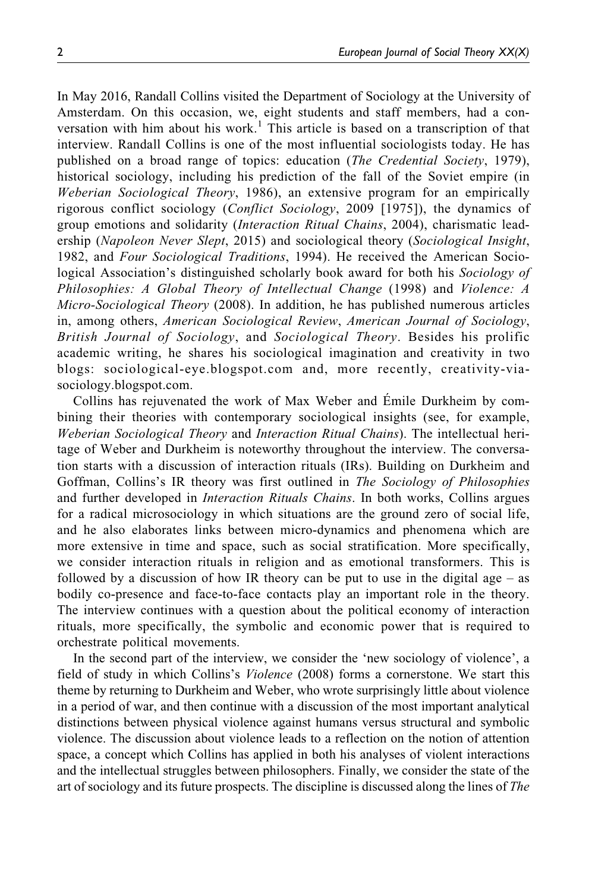In May 2016, Randall Collins visited the Department of Sociology at the University of Amsterdam. On this occasion, we, eight students and staff members, had a conversation with him about his work.<sup>1</sup> This article is based on a transcription of that interview. Randall Collins is one of the most influential sociologists today. He has published on a broad range of topics: education (*The Credential Society*, 1979), historical sociology, including his prediction of the fall of the Soviet empire (in Weberian Sociological Theory, 1986), an extensive program for an empirically rigorous conflict sociology (Conflict Sociology, 2009 [1975]), the dynamics of group emotions and solidarity *(Interaction Ritual Chains*, 2004), charismatic leadership (Napoleon Never Slept, 2015) and sociological theory (Sociological Insight, 1982, and Four Sociological Traditions, 1994). He received the American Sociological Association's distinguished scholarly book award for both his Sociology of Philosophies: A Global Theory of Intellectual Change (1998) and Violence: A Micro-Sociological Theory (2008). In addition, he has published numerous articles in, among others, American Sociological Review, American Journal of Sociology, British Journal of Sociology, and Sociological Theory. Besides his prolific academic writing, he shares his sociological imagination and creativity in two blogs: [sociological-eye.blogspot.com](http://sociological-eye.blogspot.com) and, more recently, [creativity-via](http://creativity-via-sociology.blogspot.com)[sociology.blogspot.com](http://creativity-via-sociology.blogspot.com).

Collins has rejuvenated the work of Max Weber and Émile Durkheim by combining their theories with contemporary sociological insights (see, for example, Weberian Sociological Theory and Interaction Ritual Chains). The intellectual heritage of Weber and Durkheim is noteworthy throughout the interview. The conversation starts with a discussion of interaction rituals (IRs). Building on Durkheim and Goffman, Collins's IR theory was first outlined in *The Sociology of Philosophies* and further developed in *Interaction Rituals Chains*. In both works, Collins argues for a radical microsociology in which situations are the ground zero of social life, and he also elaborates links between micro-dynamics and phenomena which are more extensive in time and space, such as social stratification. More specifically, we consider interaction rituals in religion and as emotional transformers. This is followed by a discussion of how IR theory can be put to use in the digital age – as bodily co-presence and face-to-face contacts play an important role in the theory. The interview continues with a question about the political economy of interaction rituals, more specifically, the symbolic and economic power that is required to orchestrate political movements.

In the second part of the interview, we consider the 'new sociology of violence', a field of study in which Collins's *Violence* (2008) forms a cornerstone. We start this theme by returning to Durkheim and Weber, who wrote surprisingly little about violence in a period of war, and then continue with a discussion of the most important analytical distinctions between physical violence against humans versus structural and symbolic violence. The discussion about violence leads to a reflection on the notion of attention space, a concept which Collins has applied in both his analyses of violent interactions and the intellectual struggles between philosophers. Finally, we consider the state of the art of sociology and its future prospects. The discipline is discussed along the lines of The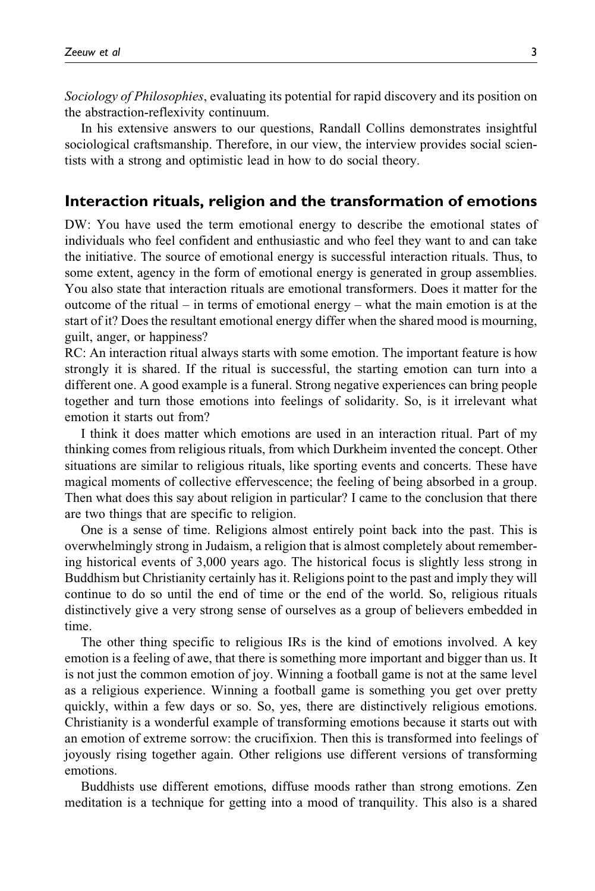Sociology of Philosophies, evaluating its potential for rapid discovery and its position on the abstraction-reflexivity continuum.

In his extensive answers to our questions, Randall Collins demonstrates insightful sociological craftsmanship. Therefore, in our view, the interview provides social scientists with a strong and optimistic lead in how to do social theory.

#### Interaction rituals, religion and the transformation of emotions

DW: You have used the term emotional energy to describe the emotional states of individuals who feel confident and enthusiastic and who feel they want to and can take the initiative. The source of emotional energy is successful interaction rituals. Thus, to some extent, agency in the form of emotional energy is generated in group assemblies. You also state that interaction rituals are emotional transformers. Does it matter for the outcome of the ritual – in terms of emotional energy – what the main emotion is at the start of it? Does the resultant emotional energy differ when the shared mood is mourning, guilt, anger, or happiness?

RC: An interaction ritual always starts with some emotion. The important feature is how strongly it is shared. If the ritual is successful, the starting emotion can turn into a different one. A good example is a funeral. Strong negative experiences can bring people together and turn those emotions into feelings of solidarity. So, is it irrelevant what emotion it starts out from?

I think it does matter which emotions are used in an interaction ritual. Part of my thinking comes from religious rituals, from which Durkheim invented the concept. Other situations are similar to religious rituals, like sporting events and concerts. These have magical moments of collective effervescence; the feeling of being absorbed in a group. Then what does this say about religion in particular? I came to the conclusion that there are two things that are specific to religion.

One is a sense of time. Religions almost entirely point back into the past. This is overwhelmingly strong in Judaism, a religion that is almost completely about remembering historical events of 3,000 years ago. The historical focus is slightly less strong in Buddhism but Christianity certainly has it. Religions point to the past and imply they will continue to do so until the end of time or the end of the world. So, religious rituals distinctively give a very strong sense of ourselves as a group of believers embedded in time.

The other thing specific to religious IRs is the kind of emotions involved. A key emotion is a feeling of awe, that there is something more important and bigger than us. It is not just the common emotion of joy. Winning a football game is not at the same level as a religious experience. Winning a football game is something you get over pretty quickly, within a few days or so. So, yes, there are distinctively religious emotions. Christianity is a wonderful example of transforming emotions because it starts out with an emotion of extreme sorrow: the crucifixion. Then this is transformed into feelings of joyously rising together again. Other religions use different versions of transforming emotions.

Buddhists use different emotions, diffuse moods rather than strong emotions. Zen meditation is a technique for getting into a mood of tranquility. This also is a shared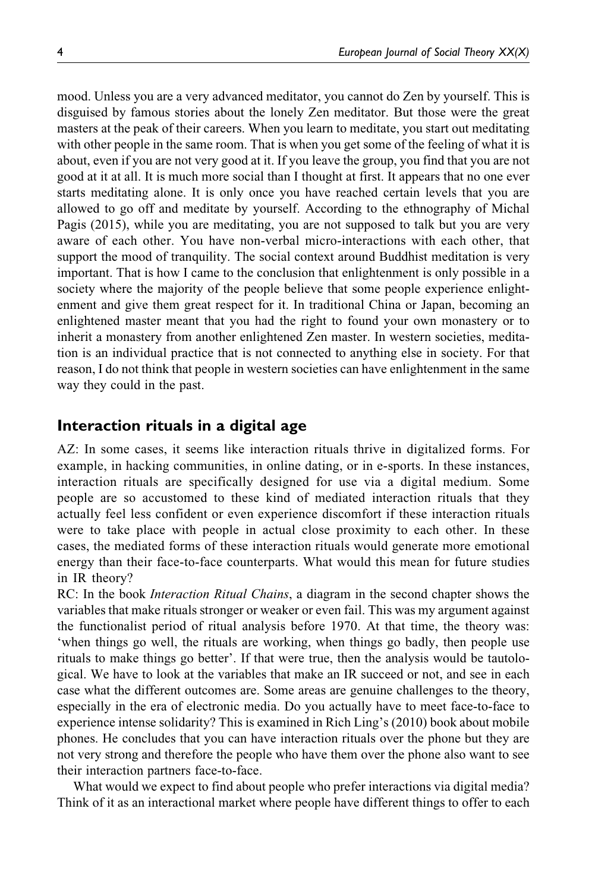mood. Unless you are a very advanced meditator, you cannot do Zen by yourself. This is disguised by famous stories about the lonely Zen meditator. But those were the great masters at the peak of their careers. When you learn to meditate, you start out meditating with other people in the same room. That is when you get some of the feeling of what it is about, even if you are not very good at it. If you leave the group, you find that you are not good at it at all. It is much more social than I thought at first. It appears that no one ever starts meditating alone. It is only once you have reached certain levels that you are allowed to go off and meditate by yourself. According to the ethnography of Michal Pagis (2015), while you are meditating, you are not supposed to talk but you are very aware of each other. You have non-verbal micro-interactions with each other, that support the mood of tranquility. The social context around Buddhist meditation is very important. That is how I came to the conclusion that enlightenment is only possible in a society where the majority of the people believe that some people experience enlightenment and give them great respect for it. In traditional China or Japan, becoming an enlightened master meant that you had the right to found your own monastery or to inherit a monastery from another enlightened Zen master. In western societies, meditation is an individual practice that is not connected to anything else in society. For that reason, I do not think that people in western societies can have enlightenment in the same way they could in the past.

# Interaction rituals in a digital age

AZ: In some cases, it seems like interaction rituals thrive in digitalized forms. For example, in hacking communities, in online dating, or in e-sports. In these instances, interaction rituals are specifically designed for use via a digital medium. Some people are so accustomed to these kind of mediated interaction rituals that they actually feel less confident or even experience discomfort if these interaction rituals were to take place with people in actual close proximity to each other. In these cases, the mediated forms of these interaction rituals would generate more emotional energy than their face-to-face counterparts. What would this mean for future studies in IR theory?

RC: In the book *Interaction Ritual Chains*, a diagram in the second chapter shows the variables that make rituals stronger or weaker or even fail. This was my argument against the functionalist period of ritual analysis before 1970. At that time, the theory was: 'when things go well, the rituals are working, when things go badly, then people use rituals to make things go better'. If that were true, then the analysis would be tautological. We have to look at the variables that make an IR succeed or not, and see in each case what the different outcomes are. Some areas are genuine challenges to the theory, especially in the era of electronic media. Do you actually have to meet face-to-face to experience intense solidarity? This is examined in Rich Ling's (2010) book about mobile phones. He concludes that you can have interaction rituals over the phone but they are not very strong and therefore the people who have them over the phone also want to see their interaction partners face-to-face.

What would we expect to find about people who prefer interactions via digital media? Think of it as an interactional market where people have different things to offer to each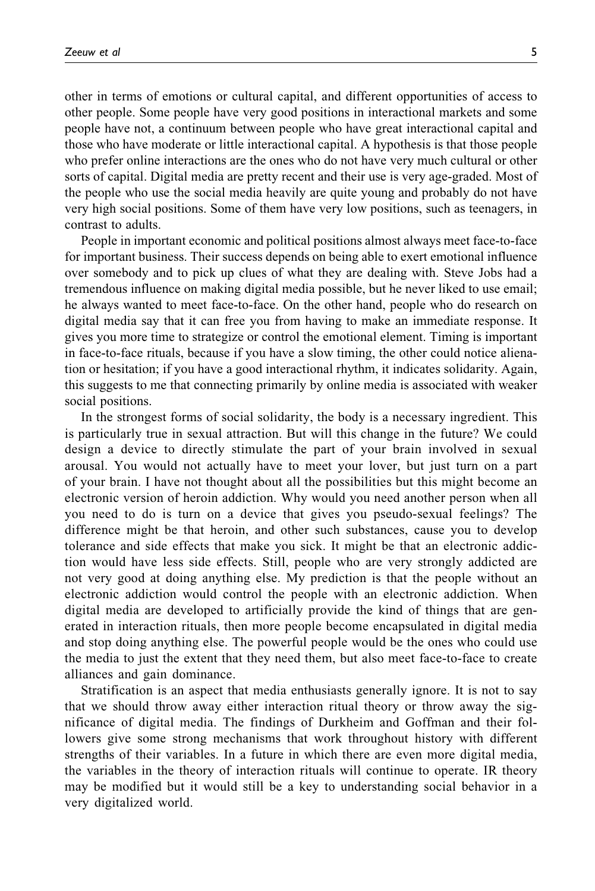other in terms of emotions or cultural capital, and different opportunities of access to other people. Some people have very good positions in interactional markets and some people have not, a continuum between people who have great interactional capital and those who have moderate or little interactional capital. A hypothesis is that those people who prefer online interactions are the ones who do not have very much cultural or other sorts of capital. Digital media are pretty recent and their use is very age-graded. Most of the people who use the social media heavily are quite young and probably do not have very high social positions. Some of them have very low positions, such as teenagers, in contrast to adults.

People in important economic and political positions almost always meet face-to-face for important business. Their success depends on being able to exert emotional influence over somebody and to pick up clues of what they are dealing with. Steve Jobs had a tremendous influence on making digital media possible, but he never liked to use email; he always wanted to meet face-to-face. On the other hand, people who do research on digital media say that it can free you from having to make an immediate response. It gives you more time to strategize or control the emotional element. Timing is important in face-to-face rituals, because if you have a slow timing, the other could notice alienation or hesitation; if you have a good interactional rhythm, it indicates solidarity. Again, this suggests to me that connecting primarily by online media is associated with weaker social positions.

In the strongest forms of social solidarity, the body is a necessary ingredient. This is particularly true in sexual attraction. But will this change in the future? We could design a device to directly stimulate the part of your brain involved in sexual arousal. You would not actually have to meet your lover, but just turn on a part of your brain. I have not thought about all the possibilities but this might become an electronic version of heroin addiction. Why would you need another person when all you need to do is turn on a device that gives you pseudo-sexual feelings? The difference might be that heroin, and other such substances, cause you to develop tolerance and side effects that make you sick. It might be that an electronic addiction would have less side effects. Still, people who are very strongly addicted are not very good at doing anything else. My prediction is that the people without an electronic addiction would control the people with an electronic addiction. When digital media are developed to artificially provide the kind of things that are generated in interaction rituals, then more people become encapsulated in digital media and stop doing anything else. The powerful people would be the ones who could use the media to just the extent that they need them, but also meet face-to-face to create alliances and gain dominance.

Stratification is an aspect that media enthusiasts generally ignore. It is not to say that we should throw away either interaction ritual theory or throw away the significance of digital media. The findings of Durkheim and Goffman and their followers give some strong mechanisms that work throughout history with different strengths of their variables. In a future in which there are even more digital media, the variables in the theory of interaction rituals will continue to operate. IR theory may be modified but it would still be a key to understanding social behavior in a very digitalized world.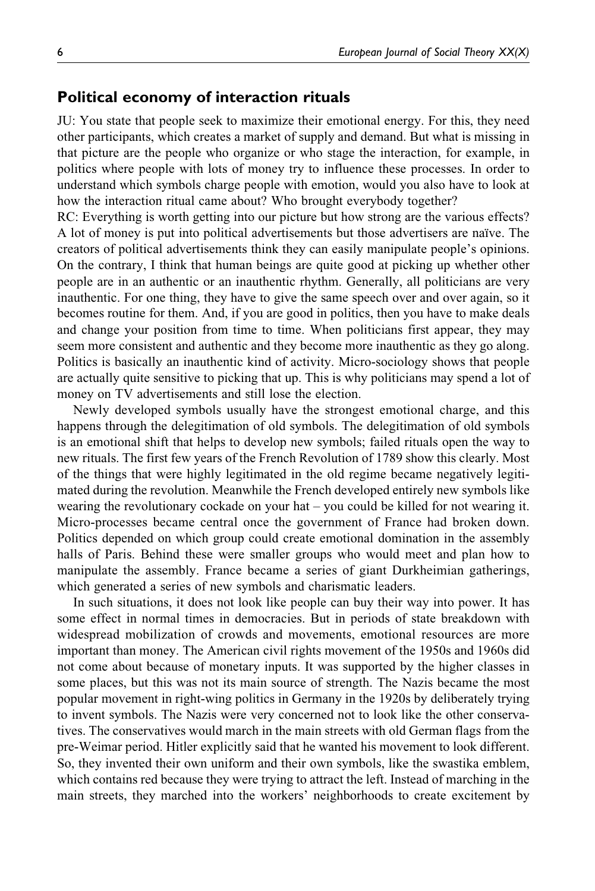#### Political economy of interaction rituals

JU: You state that people seek to maximize their emotional energy. For this, they need other participants, which creates a market of supply and demand. But what is missing in that picture are the people who organize or who stage the interaction, for example, in politics where people with lots of money try to influence these processes. In order to understand which symbols charge people with emotion, would you also have to look at how the interaction ritual came about? Who brought everybody together?

RC: Everything is worth getting into our picture but how strong are the various effects? A lot of money is put into political advertisements but those advertisers are naïve. The creators of political advertisements think they can easily manipulate people's opinions. On the contrary, I think that human beings are quite good at picking up whether other people are in an authentic or an inauthentic rhythm. Generally, all politicians are very inauthentic. For one thing, they have to give the same speech over and over again, so it becomes routine for them. And, if you are good in politics, then you have to make deals and change your position from time to time. When politicians first appear, they may seem more consistent and authentic and they become more inauthentic as they go along. Politics is basically an inauthentic kind of activity. Micro-sociology shows that people are actually quite sensitive to picking that up. This is why politicians may spend a lot of money on TV advertisements and still lose the election.

Newly developed symbols usually have the strongest emotional charge, and this happens through the delegitimation of old symbols. The delegitimation of old symbols is an emotional shift that helps to develop new symbols; failed rituals open the way to new rituals. The first few years of the French Revolution of 1789 show this clearly. Most of the things that were highly legitimated in the old regime became negatively legitimated during the revolution. Meanwhile the French developed entirely new symbols like wearing the revolutionary cockade on your hat – you could be killed for not wearing it. Micro-processes became central once the government of France had broken down. Politics depended on which group could create emotional domination in the assembly halls of Paris. Behind these were smaller groups who would meet and plan how to manipulate the assembly. France became a series of giant Durkheimian gatherings, which generated a series of new symbols and charismatic leaders.

In such situations, it does not look like people can buy their way into power. It has some effect in normal times in democracies. But in periods of state breakdown with widespread mobilization of crowds and movements, emotional resources are more important than money. The American civil rights movement of the 1950s and 1960s did not come about because of monetary inputs. It was supported by the higher classes in some places, but this was not its main source of strength. The Nazis became the most popular movement in right-wing politics in Germany in the 1920s by deliberately trying to invent symbols. The Nazis were very concerned not to look like the other conservatives. The conservatives would march in the main streets with old German flags from the pre-Weimar period. Hitler explicitly said that he wanted his movement to look different. So, they invented their own uniform and their own symbols, like the swastika emblem, which contains red because they were trying to attract the left. Instead of marching in the main streets, they marched into the workers' neighborhoods to create excitement by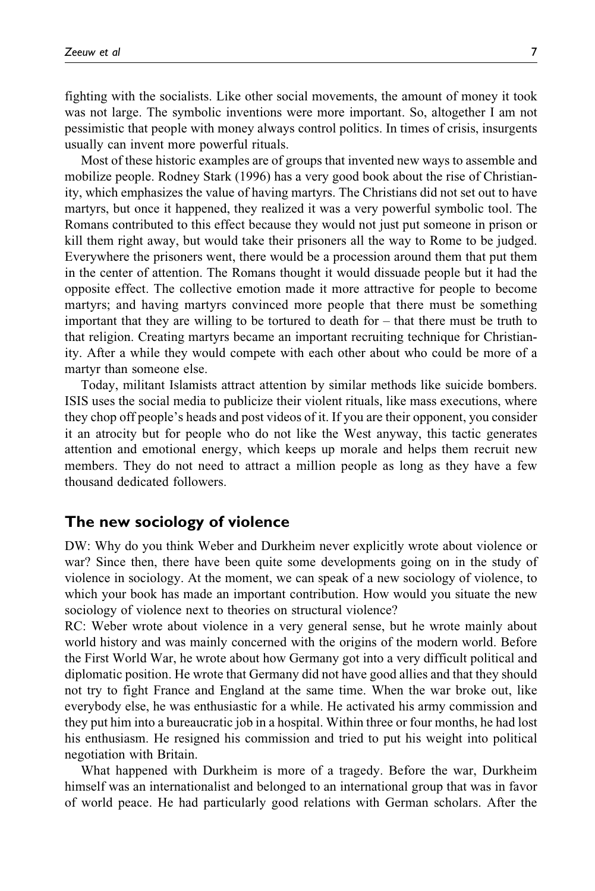fighting with the socialists. Like other social movements, the amount of money it took was not large. The symbolic inventions were more important. So, altogether I am not pessimistic that people with money always control politics. In times of crisis, insurgents usually can invent more powerful rituals.

Most of these historic examples are of groups that invented new ways to assemble and mobilize people. Rodney Stark (1996) has a very good book about the rise of Christianity, which emphasizes the value of having martyrs. The Christians did not set out to have martyrs, but once it happened, they realized it was a very powerful symbolic tool. The Romans contributed to this effect because they would not just put someone in prison or kill them right away, but would take their prisoners all the way to Rome to be judged. Everywhere the prisoners went, there would be a procession around them that put them in the center of attention. The Romans thought it would dissuade people but it had the opposite effect. The collective emotion made it more attractive for people to become martyrs; and having martyrs convinced more people that there must be something important that they are willing to be tortured to death for – that there must be truth to that religion. Creating martyrs became an important recruiting technique for Christianity. After a while they would compete with each other about who could be more of a martyr than someone else.

Today, militant Islamists attract attention by similar methods like suicide bombers. ISIS uses the social media to publicize their violent rituals, like mass executions, where they chop off people's heads and post videos of it. If you are their opponent, you consider it an atrocity but for people who do not like the West anyway, this tactic generates attention and emotional energy, which keeps up morale and helps them recruit new members. They do not need to attract a million people as long as they have a few thousand dedicated followers.

# The new sociology of violence

DW: Why do you think Weber and Durkheim never explicitly wrote about violence or war? Since then, there have been quite some developments going on in the study of violence in sociology. At the moment, we can speak of a new sociology of violence, to which your book has made an important contribution. How would you situate the new sociology of violence next to theories on structural violence?

RC: Weber wrote about violence in a very general sense, but he wrote mainly about world history and was mainly concerned with the origins of the modern world. Before the First World War, he wrote about how Germany got into a very difficult political and diplomatic position. He wrote that Germany did not have good allies and that they should not try to fight France and England at the same time. When the war broke out, like everybody else, he was enthusiastic for a while. He activated his army commission and they put him into a bureaucratic job in a hospital. Within three or four months, he had lost his enthusiasm. He resigned his commission and tried to put his weight into political negotiation with Britain.

What happened with Durkheim is more of a tragedy. Before the war, Durkheim himself was an internationalist and belonged to an international group that was in favor of world peace. He had particularly good relations with German scholars. After the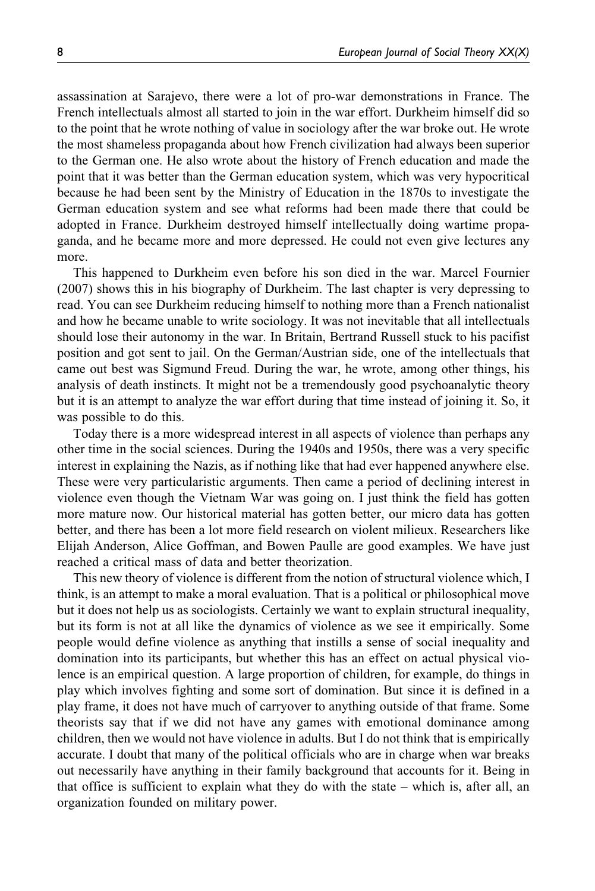assassination at Sarajevo, there were a lot of pro-war demonstrations in France. The French intellectuals almost all started to join in the war effort. Durkheim himself did so to the point that he wrote nothing of value in sociology after the war broke out. He wrote the most shameless propaganda about how French civilization had always been superior to the German one. He also wrote about the history of French education and made the point that it was better than the German education system, which was very hypocritical because he had been sent by the Ministry of Education in the 1870s to investigate the German education system and see what reforms had been made there that could be adopted in France. Durkheim destroyed himself intellectually doing wartime propaganda, and he became more and more depressed. He could not even give lectures any more.

This happened to Durkheim even before his son died in the war. Marcel Fournier (2007) shows this in his biography of Durkheim. The last chapter is very depressing to read. You can see Durkheim reducing himself to nothing more than a French nationalist and how he became unable to write sociology. It was not inevitable that all intellectuals should lose their autonomy in the war. In Britain, Bertrand Russell stuck to his pacifist position and got sent to jail. On the German/Austrian side, one of the intellectuals that came out best was Sigmund Freud. During the war, he wrote, among other things, his analysis of death instincts. It might not be a tremendously good psychoanalytic theory but it is an attempt to analyze the war effort during that time instead of joining it. So, it was possible to do this.

Today there is a more widespread interest in all aspects of violence than perhaps any other time in the social sciences. During the 1940s and 1950s, there was a very specific interest in explaining the Nazis, as if nothing like that had ever happened anywhere else. These were very particularistic arguments. Then came a period of declining interest in violence even though the Vietnam War was going on. I just think the field has gotten more mature now. Our historical material has gotten better, our micro data has gotten better, and there has been a lot more field research on violent milieux. Researchers like Elijah Anderson, Alice Goffman, and Bowen Paulle are good examples. We have just reached a critical mass of data and better theorization.

This new theory of violence is different from the notion of structural violence which, I think, is an attempt to make a moral evaluation. That is a political or philosophical move but it does not help us as sociologists. Certainly we want to explain structural inequality, but its form is not at all like the dynamics of violence as we see it empirically. Some people would define violence as anything that instills a sense of social inequality and domination into its participants, but whether this has an effect on actual physical violence is an empirical question. A large proportion of children, for example, do things in play which involves fighting and some sort of domination. But since it is defined in a play frame, it does not have much of carryover to anything outside of that frame. Some theorists say that if we did not have any games with emotional dominance among children, then we would not have violence in adults. But I do not think that is empirically accurate. I doubt that many of the political officials who are in charge when war breaks out necessarily have anything in their family background that accounts for it. Being in that office is sufficient to explain what they do with the state – which is, after all, an organization founded on military power.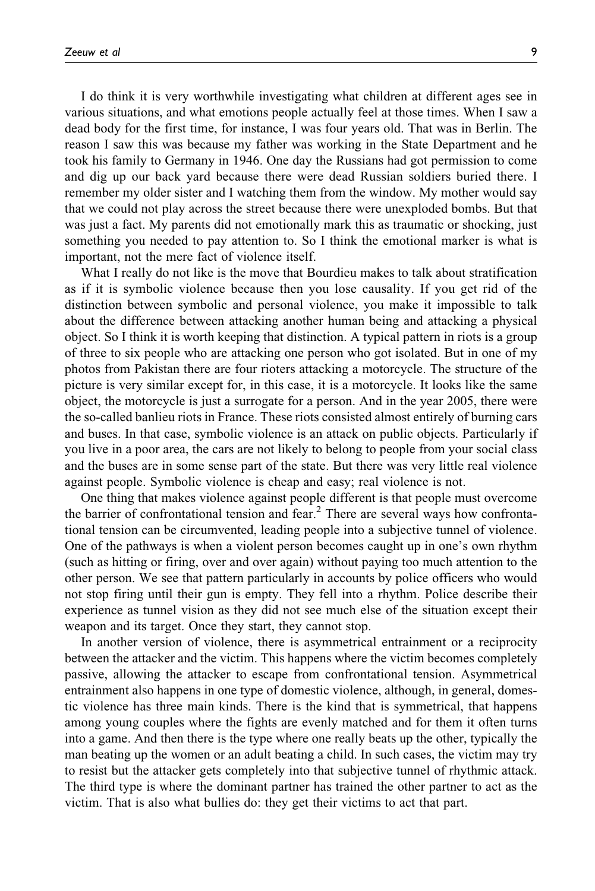I do think it is very worthwhile investigating what children at different ages see in various situations, and what emotions people actually feel at those times. When I saw a dead body for the first time, for instance, I was four years old. That was in Berlin. The reason I saw this was because my father was working in the State Department and he took his family to Germany in 1946. One day the Russians had got permission to come and dig up our back yard because there were dead Russian soldiers buried there. I remember my older sister and I watching them from the window. My mother would say that we could not play across the street because there were unexploded bombs. But that was just a fact. My parents did not emotionally mark this as traumatic or shocking, just something you needed to pay attention to. So I think the emotional marker is what is important, not the mere fact of violence itself.

What I really do not like is the move that Bourdieu makes to talk about stratification as if it is symbolic violence because then you lose causality. If you get rid of the distinction between symbolic and personal violence, you make it impossible to talk about the difference between attacking another human being and attacking a physical object. So I think it is worth keeping that distinction. A typical pattern in riots is a group of three to six people who are attacking one person who got isolated. But in one of my photos from Pakistan there are four rioters attacking a motorcycle. The structure of the picture is very similar except for, in this case, it is a motorcycle. It looks like the same object, the motorcycle is just a surrogate for a person. And in the year 2005, there were the so-called banlieu riots in France. These riots consisted almost entirely of burning cars and buses. In that case, symbolic violence is an attack on public objects. Particularly if you live in a poor area, the cars are not likely to belong to people from your social class and the buses are in some sense part of the state. But there was very little real violence against people. Symbolic violence is cheap and easy; real violence is not.

One thing that makes violence against people different is that people must overcome the barrier of confrontational tension and fear.<sup>2</sup> There are several ways how confrontational tension can be circumvented, leading people into a subjective tunnel of violence. One of the pathways is when a violent person becomes caught up in one's own rhythm (such as hitting or firing, over and over again) without paying too much attention to the other person. We see that pattern particularly in accounts by police officers who would not stop firing until their gun is empty. They fell into a rhythm. Police describe their experience as tunnel vision as they did not see much else of the situation except their weapon and its target. Once they start, they cannot stop.

In another version of violence, there is asymmetrical entrainment or a reciprocity between the attacker and the victim. This happens where the victim becomes completely passive, allowing the attacker to escape from confrontational tension. Asymmetrical entrainment also happens in one type of domestic violence, although, in general, domestic violence has three main kinds. There is the kind that is symmetrical, that happens among young couples where the fights are evenly matched and for them it often turns into a game. And then there is the type where one really beats up the other, typically the man beating up the women or an adult beating a child. In such cases, the victim may try to resist but the attacker gets completely into that subjective tunnel of rhythmic attack. The third type is where the dominant partner has trained the other partner to act as the victim. That is also what bullies do: they get their victims to act that part.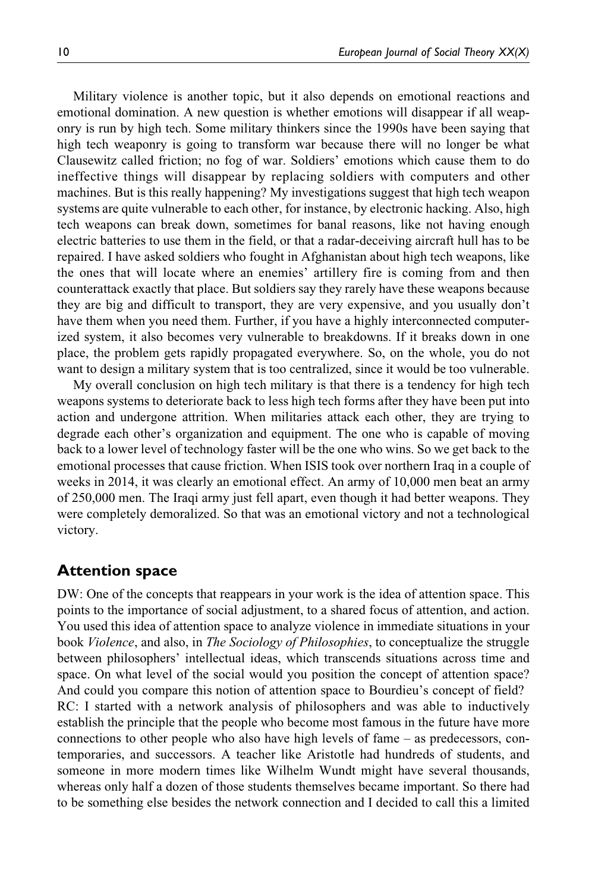Military violence is another topic, but it also depends on emotional reactions and emotional domination. A new question is whether emotions will disappear if all weaponry is run by high tech. Some military thinkers since the 1990s have been saying that high tech weaponry is going to transform war because there will no longer be what Clausewitz called friction; no fog of war. Soldiers' emotions which cause them to do ineffective things will disappear by replacing soldiers with computers and other machines. But is this really happening? My investigations suggest that high tech weapon systems are quite vulnerable to each other, for instance, by electronic hacking. Also, high tech weapons can break down, sometimes for banal reasons, like not having enough electric batteries to use them in the field, or that a radar-deceiving aircraft hull has to be repaired. I have asked soldiers who fought in Afghanistan about high tech weapons, like the ones that will locate where an enemies' artillery fire is coming from and then counterattack exactly that place. But soldiers say they rarely have these weapons because they are big and difficult to transport, they are very expensive, and you usually don't have them when you need them. Further, if you have a highly interconnected computerized system, it also becomes very vulnerable to breakdowns. If it breaks down in one place, the problem gets rapidly propagated everywhere. So, on the whole, you do not want to design a military system that is too centralized, since it would be too vulnerable.

My overall conclusion on high tech military is that there is a tendency for high tech weapons systems to deteriorate back to less high tech forms after they have been put into action and undergone attrition. When militaries attack each other, they are trying to degrade each other's organization and equipment. The one who is capable of moving back to a lower level of technology faster will be the one who wins. So we get back to the emotional processes that cause friction. When ISIS took over northern Iraq in a couple of weeks in 2014, it was clearly an emotional effect. An army of 10,000 men beat an army of 250,000 men. The Iraqi army just fell apart, even though it had better weapons. They were completely demoralized. So that was an emotional victory and not a technological victory.

# Attention space

DW: One of the concepts that reappears in your work is the idea of attention space. This points to the importance of social adjustment, to a shared focus of attention, and action. You used this idea of attention space to analyze violence in immediate situations in your book Violence, and also, in The Sociology of Philosophies, to conceptualize the struggle between philosophers' intellectual ideas, which transcends situations across time and space. On what level of the social would you position the concept of attention space? And could you compare this notion of attention space to Bourdieu's concept of field? RC: I started with a network analysis of philosophers and was able to inductively establish the principle that the people who become most famous in the future have more connections to other people who also have high levels of fame – as predecessors, contemporaries, and successors. A teacher like Aristotle had hundreds of students, and someone in more modern times like Wilhelm Wundt might have several thousands, whereas only half a dozen of those students themselves became important. So there had to be something else besides the network connection and I decided to call this a limited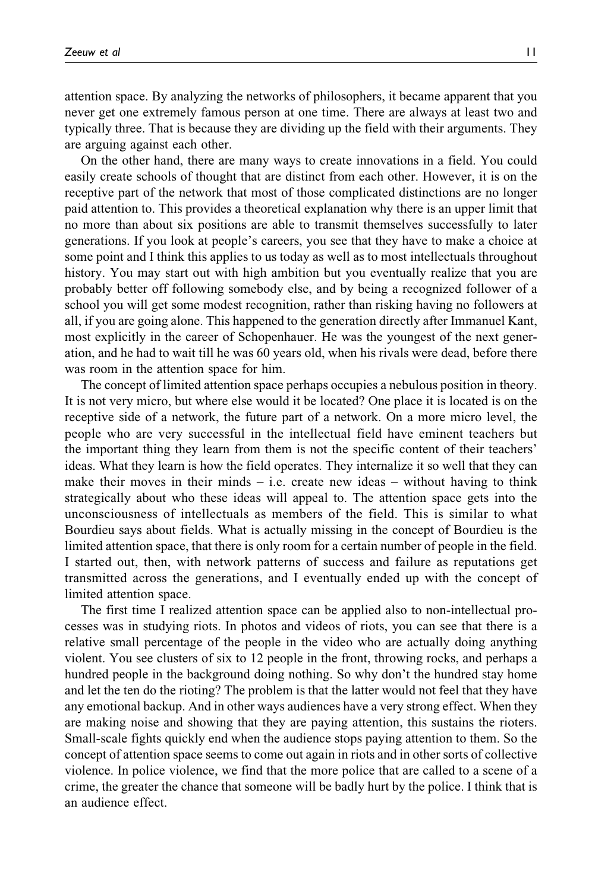attention space. By analyzing the networks of philosophers, it became apparent that you never get one extremely famous person at one time. There are always at least two and typically three. That is because they are dividing up the field with their arguments. They are arguing against each other.

On the other hand, there are many ways to create innovations in a field. You could easily create schools of thought that are distinct from each other. However, it is on the receptive part of the network that most of those complicated distinctions are no longer paid attention to. This provides a theoretical explanation why there is an upper limit that no more than about six positions are able to transmit themselves successfully to later generations. If you look at people's careers, you see that they have to make a choice at some point and I think this applies to us today as well as to most intellectuals throughout history. You may start out with high ambition but you eventually realize that you are probably better off following somebody else, and by being a recognized follower of a school you will get some modest recognition, rather than risking having no followers at all, if you are going alone. This happened to the generation directly after Immanuel Kant, most explicitly in the career of Schopenhauer. He was the youngest of the next generation, and he had to wait till he was 60 years old, when his rivals were dead, before there was room in the attention space for him.

The concept of limited attention space perhaps occupies a nebulous position in theory. It is not very micro, but where else would it be located? One place it is located is on the receptive side of a network, the future part of a network. On a more micro level, the people who are very successful in the intellectual field have eminent teachers but the important thing they learn from them is not the specific content of their teachers' ideas. What they learn is how the field operates. They internalize it so well that they can make their moves in their minds  $-$  i.e. create new ideas  $-$  without having to think strategically about who these ideas will appeal to. The attention space gets into the unconsciousness of intellectuals as members of the field. This is similar to what Bourdieu says about fields. What is actually missing in the concept of Bourdieu is the limited attention space, that there is only room for a certain number of people in the field. I started out, then, with network patterns of success and failure as reputations get transmitted across the generations, and I eventually ended up with the concept of limited attention space.

The first time I realized attention space can be applied also to non-intellectual processes was in studying riots. In photos and videos of riots, you can see that there is a relative small percentage of the people in the video who are actually doing anything violent. You see clusters of six to 12 people in the front, throwing rocks, and perhaps a hundred people in the background doing nothing. So why don't the hundred stay home and let the ten do the rioting? The problem is that the latter would not feel that they have any emotional backup. And in other ways audiences have a very strong effect. When they are making noise and showing that they are paying attention, this sustains the rioters. Small-scale fights quickly end when the audience stops paying attention to them. So the concept of attention space seems to come out again in riots and in other sorts of collective violence. In police violence, we find that the more police that are called to a scene of a crime, the greater the chance that someone will be badly hurt by the police. I think that is an audience effect.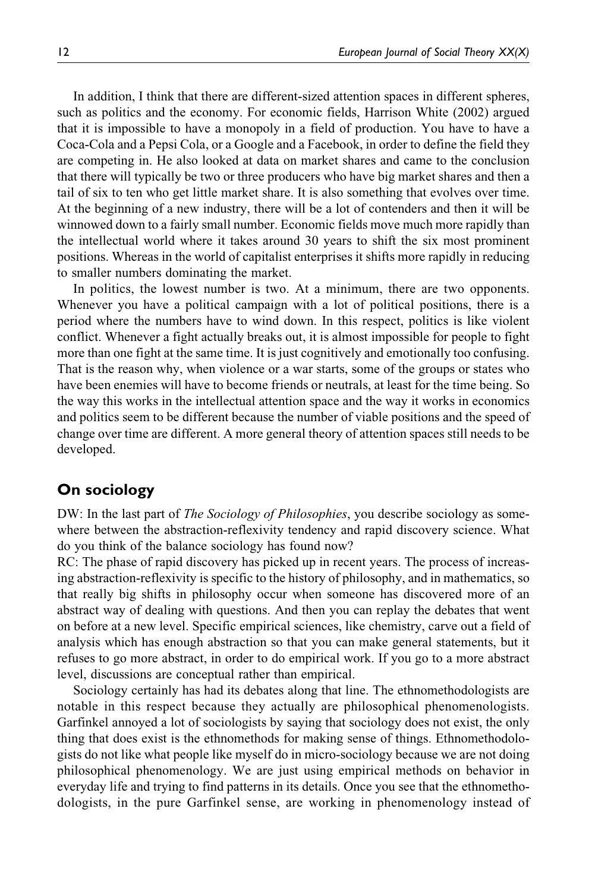In addition, I think that there are different-sized attention spaces in different spheres, such as politics and the economy. For economic fields, Harrison White (2002) argued that it is impossible to have a monopoly in a field of production. You have to have a Coca-Cola and a Pepsi Cola, or a Google and a Facebook, in order to define the field they are competing in. He also looked at data on market shares and came to the conclusion that there will typically be two or three producers who have big market shares and then a tail of six to ten who get little market share. It is also something that evolves over time. At the beginning of a new industry, there will be a lot of contenders and then it will be winnowed down to a fairly small number. Economic fields move much more rapidly than the intellectual world where it takes around 30 years to shift the six most prominent positions. Whereas in the world of capitalist enterprises it shifts more rapidly in reducing to smaller numbers dominating the market.

In politics, the lowest number is two. At a minimum, there are two opponents. Whenever you have a political campaign with a lot of political positions, there is a period where the numbers have to wind down. In this respect, politics is like violent conflict. Whenever a fight actually breaks out, it is almost impossible for people to fight more than one fight at the same time. It is just cognitively and emotionally too confusing. That is the reason why, when violence or a war starts, some of the groups or states who have been enemies will have to become friends or neutrals, at least for the time being. So the way this works in the intellectual attention space and the way it works in economics and politics seem to be different because the number of viable positions and the speed of change over time are different. A more general theory of attention spaces still needs to be developed.

### On sociology

DW: In the last part of *The Sociology of Philosophies*, you describe sociology as somewhere between the abstraction-reflexivity tendency and rapid discovery science. What do you think of the balance sociology has found now?

RC: The phase of rapid discovery has picked up in recent years. The process of increasing abstraction-reflexivity is specific to the history of philosophy, and in mathematics, so that really big shifts in philosophy occur when someone has discovered more of an abstract way of dealing with questions. And then you can replay the debates that went on before at a new level. Specific empirical sciences, like chemistry, carve out a field of analysis which has enough abstraction so that you can make general statements, but it refuses to go more abstract, in order to do empirical work. If you go to a more abstract level, discussions are conceptual rather than empirical.

Sociology certainly has had its debates along that line. The ethnomethodologists are notable in this respect because they actually are philosophical phenomenologists. Garfinkel annoyed a lot of sociologists by saying that sociology does not exist, the only thing that does exist is the ethnomethods for making sense of things. Ethnomethodologists do not like what people like myself do in micro-sociology because we are not doing philosophical phenomenology. We are just using empirical methods on behavior in everyday life and trying to find patterns in its details. Once you see that the ethnomethodologists, in the pure Garfinkel sense, are working in phenomenology instead of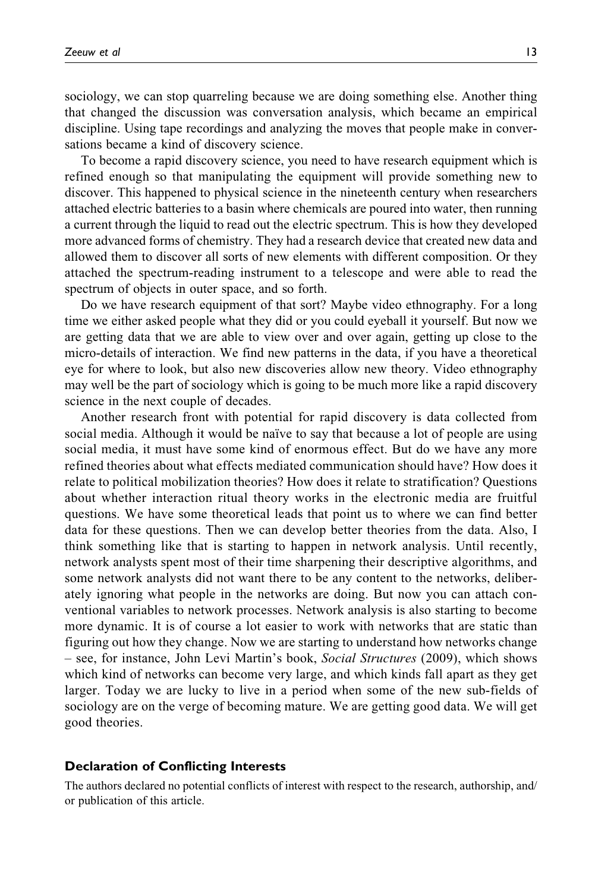sociology, we can stop quarreling because we are doing something else. Another thing that changed the discussion was conversation analysis, which became an empirical discipline. Using tape recordings and analyzing the moves that people make in conversations became a kind of discovery science.

To become a rapid discovery science, you need to have research equipment which is refined enough so that manipulating the equipment will provide something new to discover. This happened to physical science in the nineteenth century when researchers attached electric batteries to a basin where chemicals are poured into water, then running a current through the liquid to read out the electric spectrum. This is how they developed more advanced forms of chemistry. They had a research device that created new data and allowed them to discover all sorts of new elements with different composition. Or they attached the spectrum-reading instrument to a telescope and were able to read the spectrum of objects in outer space, and so forth.

Do we have research equipment of that sort? Maybe video ethnography. For a long time we either asked people what they did or you could eyeball it yourself. But now we are getting data that we are able to view over and over again, getting up close to the micro-details of interaction. We find new patterns in the data, if you have a theoretical eye for where to look, but also new discoveries allow new theory. Video ethnography may well be the part of sociology which is going to be much more like a rapid discovery science in the next couple of decades.

Another research front with potential for rapid discovery is data collected from social media. Although it would be naïve to say that because a lot of people are using social media, it must have some kind of enormous effect. But do we have any more refined theories about what effects mediated communication should have? How does it relate to political mobilization theories? How does it relate to stratification? Questions about whether interaction ritual theory works in the electronic media are fruitful questions. We have some theoretical leads that point us to where we can find better data for these questions. Then we can develop better theories from the data. Also, I think something like that is starting to happen in network analysis. Until recently, network analysts spent most of their time sharpening their descriptive algorithms, and some network analysts did not want there to be any content to the networks, deliberately ignoring what people in the networks are doing. But now you can attach conventional variables to network processes. Network analysis is also starting to become more dynamic. It is of course a lot easier to work with networks that are static than figuring out how they change. Now we are starting to understand how networks change – see, for instance, John Levi Martin's book, Social Structures (2009), which shows which kind of networks can become very large, and which kinds fall apart as they get larger. Today we are lucky to live in a period when some of the new sub-fields of sociology are on the verge of becoming mature. We are getting good data. We will get good theories.

#### Declaration of Conflicting Interests

The authors declared no potential conflicts of interest with respect to the research, authorship, and/ or publication of this article.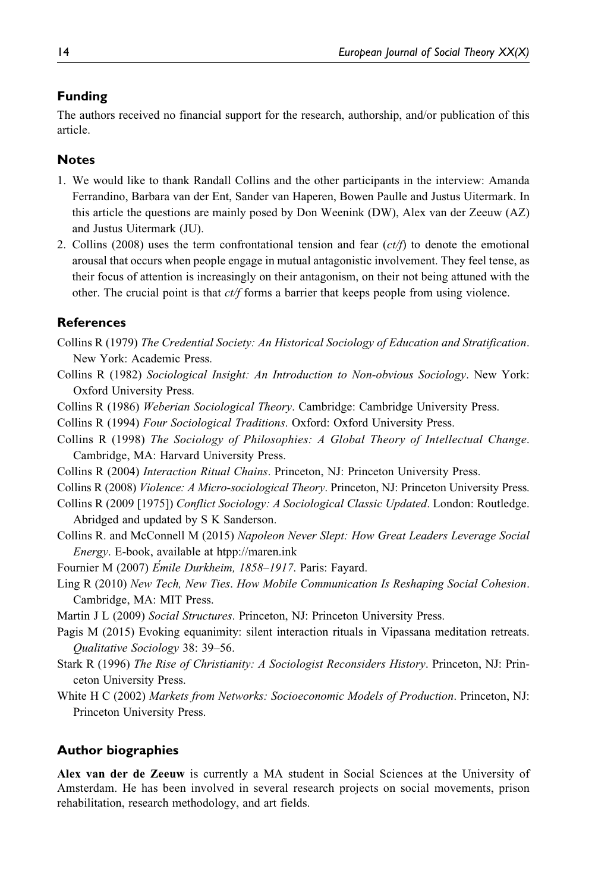## Funding

The authors received no financial support for the research, authorship, and/or publication of this article.

### **Notes**

- 1. We would like to thank Randall Collins and the other participants in the interview: Amanda Ferrandino, Barbara van der Ent, Sander van Haperen, Bowen Paulle and Justus Uitermark. In this article the questions are mainly posed by Don Weenink (DW), Alex van der Zeeuw (AZ) and Justus Uitermark (JU).
- 2. Collins (2008) uses the term confrontational tension and fear  $(ct/f)$  to denote the emotional arousal that occurs when people engage in mutual antagonistic involvement. They feel tense, as their focus of attention is increasingly on their antagonism, on their not being attuned with the other. The crucial point is that  $ct/f$  forms a barrier that keeps people from using violence.

#### **References**

- Collins R (1979) The Credential Society: An Historical Sociology of Education and Stratification. New York: Academic Press.
- Collins R (1982) Sociological Insight: An Introduction to Non-obvious Sociology. New York: Oxford University Press.
- Collins R (1986) Weberian Sociological Theory. Cambridge: Cambridge University Press.
- Collins R (1994) Four Sociological Traditions. Oxford: Oxford University Press.
- Collins R (1998) The Sociology of Philosophies: A Global Theory of Intellectual Change. Cambridge, MA: Harvard University Press.
- Collins R (2004) Interaction Ritual Chains. Princeton, NJ: Princeton University Press.
- Collins R (2008) Violence: A Micro-sociological Theory. Princeton, NJ: Princeton University Press.
- Collins R (2009 [1975]) Conflict Sociology: A Sociological Classic Updated. London: Routledge. Abridged and updated by S K Sanderson.
- Collins R. and McConnell M (2015) Napoleon Never Slept: How Great Leaders Leverage Social Energy. E-book, available at [htpp://maren.ink](http://htpp://maren.ink)
- Fournier M (2007) Emile Durkheim, 1858-1917. Paris: Fayard.
- Ling R (2010) New Tech, New Ties. How Mobile Communication Is Reshaping Social Cohesion. Cambridge, MA: MIT Press.
- Martin J L (2009) Social Structures. Princeton, NJ: Princeton University Press.
- Pagis M (2015) Evoking equanimity: silent interaction rituals in Vipassana meditation retreats. Qualitative Sociology 38: 39–56.
- Stark R (1996) The Rise of Christianity: A Sociologist Reconsiders History. Princeton, NJ: Princeton University Press.
- White H C (2002) Markets from Networks: Socioeconomic Models of Production. Princeton, NJ: Princeton University Press.

### Author biographies

Alex van der de Zeeuw is currently a MA student in Social Sciences at the University of Amsterdam. He has been involved in several research projects on social movements, prison rehabilitation, research methodology, and art fields.